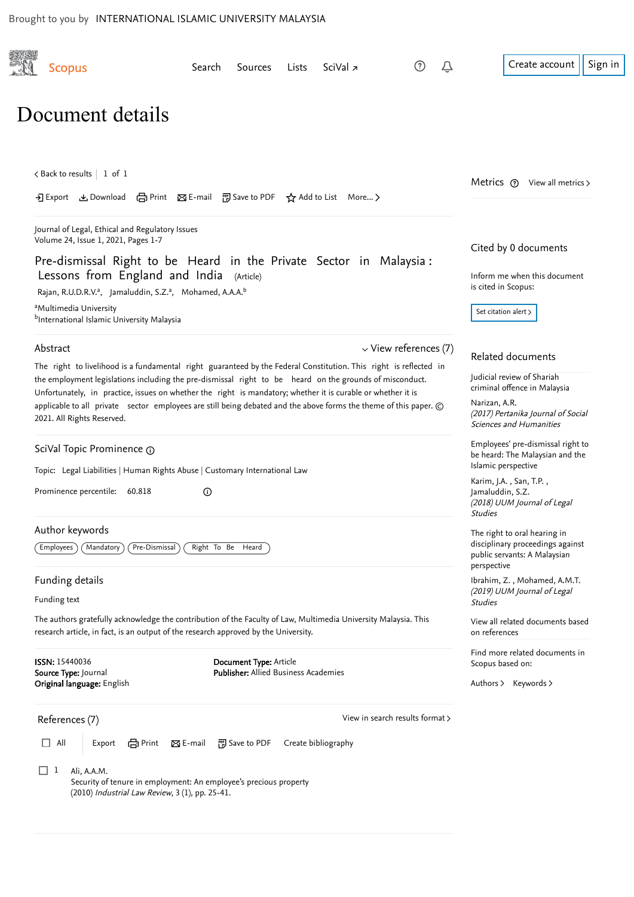<span id="page-0-1"></span><span id="page-0-0"></span>

| Document details                                                                                                                                                                                                                                                                                                                                                           |                                                                                                                      |  |                     |                                                                                                                                              |                                                                                                                 |
|----------------------------------------------------------------------------------------------------------------------------------------------------------------------------------------------------------------------------------------------------------------------------------------------------------------------------------------------------------------------------|----------------------------------------------------------------------------------------------------------------------|--|---------------------|----------------------------------------------------------------------------------------------------------------------------------------------|-----------------------------------------------------------------------------------------------------------------|
| $\zeta$ Back to results   1 of 1                                                                                                                                                                                                                                                                                                                                           | → Export と Download (금 Print ⊠ E-mail 可 Save to PDF ☆ Add to List More >                                             |  |                     |                                                                                                                                              | Metrics $(2)$ View all metrics $\ge$                                                                            |
| Journal of Legal, Ethical and Regulatory Issues<br>Volume 24, Issue 1, 2021, Pages 1-7                                                                                                                                                                                                                                                                                     |                                                                                                                      |  |                     |                                                                                                                                              | Cited by 0 documents                                                                                            |
| Pre-dismissal Right to be Heard in the Private Sector in Malaysia:<br>Lessons from England and India (Article)<br>Rajan, R.U.D.R.V. <sup>a</sup> , Jamaluddin, S.Z. <sup>a</sup> , Mohamed, A.A.A. <sup>b</sup>                                                                                                                                                            |                                                                                                                      |  |                     |                                                                                                                                              | Inform me when this document<br>is cited in Scopus:                                                             |
| <sup>a</sup> Multimedia University<br>bInternational Islamic University Malaysia                                                                                                                                                                                                                                                                                           |                                                                                                                      |  |                     | Set citation alert >                                                                                                                         |                                                                                                                 |
| $\vee$ View references (7)<br>Abstract<br>The right to livelihood is a fundamental right guaranteed by the Federal Constitution. This right is reflected in                                                                                                                                                                                                                |                                                                                                                      |  |                     | Related documents                                                                                                                            |                                                                                                                 |
| the employment legislations including the pre-dismissal right to be heard on the grounds of misconduct.<br>Unfortunately, in practice, issues on whether the right is mandatory; whether it is curable or whether it is<br>applicable to all private sector employees are still being debated and the above forms the theme of this paper. ©<br>2021. All Rights Reserved. |                                                                                                                      |  |                     | Judicial review of Shariah<br>criminal offence in Malaysia<br>Narizan, A.R.<br>(2017) Pertanika Journal of Social<br>Sciences and Humanities |                                                                                                                 |
| SciVal Topic Prominence 1                                                                                                                                                                                                                                                                                                                                                  |                                                                                                                      |  |                     |                                                                                                                                              | Employees' pre-dismissal right to<br>be heard: The Malaysian and the<br>Islamic perspective                     |
| Topic: Legal Liabilities   Human Rights Abuse   Customary International Law<br>Prominence percentile: 60.818<br>$\odot$                                                                                                                                                                                                                                                    |                                                                                                                      |  |                     | Karim, J.A., San, T.P.,<br>Jamaluddin, S.Z.<br>(2018) UUM Journal of Legal<br><b>Studies</b>                                                 |                                                                                                                 |
| Author keywords<br><b>Employees</b><br>Mandatory                                                                                                                                                                                                                                                                                                                           | Pre-Dismissal<br>Right To Be Heard                                                                                   |  |                     |                                                                                                                                              | The right to oral hearing in<br>disciplinary proceedings against<br>public servants: A Malaysian<br>perspective |
| Funding details<br>Funding text                                                                                                                                                                                                                                                                                                                                            |                                                                                                                      |  |                     | Ibrahim, Z., Mohamed, A.M.T.<br>(2019) UUM Journal of Legal<br><b>Studies</b>                                                                |                                                                                                                 |
| The authors gratefully acknowledge the contribution of the Faculty of Law, Multimedia University Malaysia. This<br>research article, in fact, is an output of the research approved by the University.                                                                                                                                                                     |                                                                                                                      |  |                     | View all related documents based<br>on references                                                                                            |                                                                                                                 |
| <b>ISSN: 15440036</b><br>Document Type: Article<br><b>Publisher:</b> Allied Business Academies<br>Source Type: Journal<br>Original language: English                                                                                                                                                                                                                       |                                                                                                                      |  |                     | Find more related documents in<br>Scopus based on:<br>Authors > Keywords >                                                                   |                                                                                                                 |
| References (7)                                                                                                                                                                                                                                                                                                                                                             |                                                                                                                      |  |                     | View in search results format >                                                                                                              |                                                                                                                 |
| All<br>Export                                                                                                                                                                                                                                                                                                                                                              | en Print<br>$\Sigma$ E-mail<br><b>图</b> Save to PDF                                                                  |  | Create bibliography |                                                                                                                                              |                                                                                                                 |
| $\Box$ 1<br>Ali, A.A.M.                                                                                                                                                                                                                                                                                                                                                    | Security of tenure in employment: An employee's precious property<br>(2010) Industrial Law Review, 3 (1), pp. 25-41. |  |                     |                                                                                                                                              |                                                                                                                 |